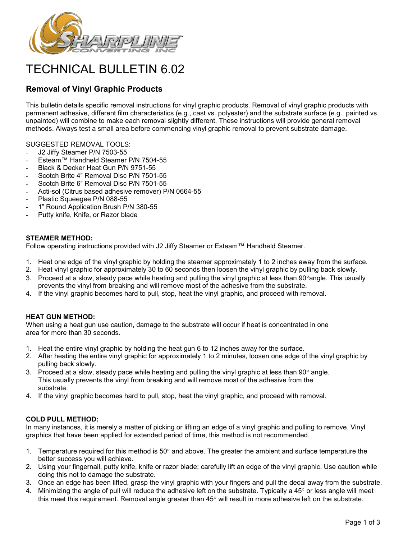

# TECHNICAL BULLETIN 6.02

# **Removal of Vinyl Graphic Products**

This bulletin details specific removal instructions for vinyl graphic products. Removal of vinyl graphic products with permanent adhesive, different film characteristics (e.g., cast vs. polyester) and the substrate surface (e.g., painted vs. unpainted) will combine to make each removal slightly different. These instructions will provide general removal methods. Always test a small area before commencing vinyl graphic removal to prevent substrate damage.

## SUGGESTED REMOVAL TOOLS:

- J2 Jiffy Steamer P/N 7503-55
- Esteam™ Handheld Steamer P/N 7504-55
- Black & Decker Heat Gun P/N 9751-55
- Scotch Brite 4" Removal Disc P/N 7501-55
- Scotch Brite 6" Removal Disc P/N 7501-55
- Acti-sol (Citrus based adhesive remover) P/N 0664-55
- Plastic Squeegee P/N 088-55
- 1" Round Application Brush P/N 380-55
- Putty knife, Knife, or Razor blade

#### **STEAMER METHOD:**

Follow operating instructions provided with J2 Jiffy Steamer or Esteam™ Handheld Steamer.

- 1. Heat one edge of the vinyl graphic by holding the steamer approximately 1 to 2 inches away from the surface.
- 2. Heat vinyl graphic for approximately 30 to 60 seconds then loosen the vinyl graphic by pulling back slowly.
- 3. Proceed at a slow, steady pace while heating and pulling the vinyl graphic at less than 90°angle. This usually prevents the vinyl from breaking and will remove most of the adhesive from the substrate.
- 4. If the vinyl graphic becomes hard to pull, stop, heat the vinyl graphic, and proceed with removal.

#### **HEAT GUN METHOD:**

When using a heat gun use caution, damage to the substrate will occur if heat is concentrated in one area for more than 30 seconds.

- 1. Heat the entire vinyl graphic by holding the heat gun 6 to 12 inches away for the surface.
- 2. After heating the entire vinyl graphic for approximately 1 to 2 minutes, loosen one edge of the vinyl graphic by pulling back slowly.
- 3. Proceed at a slow, steady pace while heating and pulling the vinyl graphic at less than  $90^{\circ}$  angle. This usually prevents the vinyl from breaking and will remove most of the adhesive from the substrate.
- 4. If the vinyl graphic becomes hard to pull, stop, heat the vinyl graphic, and proceed with removal.

## **COLD PULL METHOD:**

In many instances, it is merely a matter of picking or lifting an edge of a vinyl graphic and pulling to remove. Vinyl graphics that have been applied for extended period of time, this method is not recommended.

- 1. Temperature required for this method is  $50^{\circ}$  and above. The greater the ambient and surface temperature the better success you will achieve.
- 2. Using your fingernail, putty knife, knife or razor blade; carefully lift an edge of the vinyl graphic. Use caution while doing this not to damage the substrate.
- 3. Once an edge has been lifted, grasp the vinyl graphic with your fingers and pull the decal away from the substrate.
- 4. Minimizing the angle of pull will reduce the adhesive left on the substrate. Typically a 45° or less angle will meet this meet this requirement. Removal angle greater than 45° will result in more adhesive left on the substrate.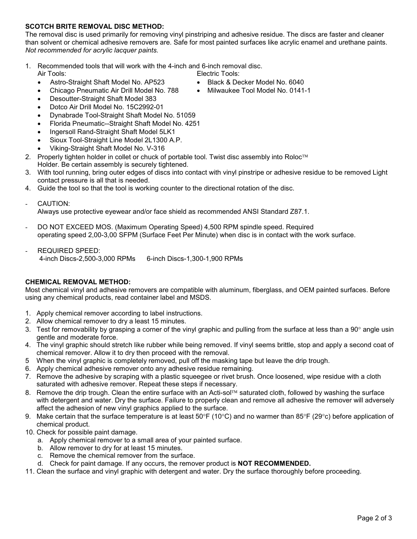# **SCOTCH BRITE REMOVAL DISC METHOD:**

The removal disc is used primarily for removing vinyl pinstriping and adhesive residue. The discs are faster and cleaner than solvent or chemical adhesive removers are. Safe for most painted surfaces like acrylic enamel and urethane paints. *Not recommended for acrylic lacquer paints.*

1. Recommended tools that will work with the 4-inch and 6-inch removal disc.

Air Tools: Electric Tools:

- Astro-Straight Shaft Model No. AP523 Black & Decker Model No. 6040
- Chicago Pneumatic Air Drill Model No. 788 Milwaukee Tool Model No. 0141-1
- Desoutter-Straight Shaft Model 383
- Dotco Air Drill Model No. 15C2992-01
- Dynabrade Tool-Straight Shaft Model No. 51059
- Florida Pneumatic--Straight Shaft Model No. 4251
- Ingersoll Rand-Straight Shaft Model 5LK1
- Sioux Tool-Straight Line Model 2L1300 A.P.
- Viking-Straight Shaft Model No. V-316
- 2. Properly tighten holder in collet or chuck of portable tool. Twist disc assembly into Roloc<sup>TM</sup> Holder. Be certain assembly is securely tightened.
- 3. With tool running, bring outer edges of discs into contact with vinyl pinstripe or adhesive residue to be removed Light contact pressure is all that is needed.
- 4. Guide the tool so that the tool is working counter to the directional rotation of the disc.
- CAUTION:

Always use protective eyewear and/or face shield as recommended ANSI Standard Z87.1.

- DO NOT EXCEED MOS. (Maximum Operating Speed) 4,500 RPM spindle speed. Required operating speed 2,00-3,00 SFPM (Surface Feet Per Minute) when disc is in contact with the work surface.
- REQUIRED SPEED: 4-inch Discs-2,500-3,000 RPMs 6-inch Discs-1,300-1,900 RPMs

#### **CHEMICAL REMOVAL METHOD:**

Most chemical vinyl and adhesive removers are compatible with aluminum, fiberglass, and OEM painted surfaces. Before using any chemical products, read container label and MSDS.

- 1. Apply chemical remover according to label instructions.
- 2. Allow chemical remover to dry a least 15 minutes.
- 3. Test for removability by grasping a corner of the vinyl graphic and pulling from the surface at less than a 90° angle usin gentle and moderate force.
- 4. The vinyl graphic should stretch like rubber while being removed. If vinyl seems brittle, stop and apply a second coat of chemical remover. Allow it to dry then proceed with the removal.
- 5 When the vinyl graphic is completely removed, pull off the masking tape but leave the drip trough.
- 6. Apply chemical adhesive remover onto any adhesive residue remaining.
- 7. Remove the adhesive by scraping with a plastic squeegee or rivet brush. Once loosened, wipe residue with a cloth saturated with adhesive remover. Repeat these steps if necessary.
- 8. Remove the drip trough. Clean the entire surface with an Acti-sol<sup>TM</sup> saturated cloth, followed by washing the surface with detergent and water. Dry the surface. Failure to properly clean and remove all adhesive the remover will adversely affect the adhesion of new vinyl graphics applied to the surface.
- 9. Make certain that the surface temperature is at least  $50^{\circ}F(10^{\circ}C)$  and no warmer than  $85^{\circ}F(29^{\circ}c)$  before application of chemical product.
- 10. Check for possible paint damage.
	- a. Apply chemical remover to a small area of your painted surface.
	- b. Allow remover to dry for at least 15 minutes.
	- c. Remove the chemical remover from the surface.
	- d. Check for paint damage. If any occurs, the remover product is **NOT RECOMMENDED.**
- 11. Clean the surface and vinyl graphic with detergent and water. Dry the surface thoroughly before proceeding.
- 
-